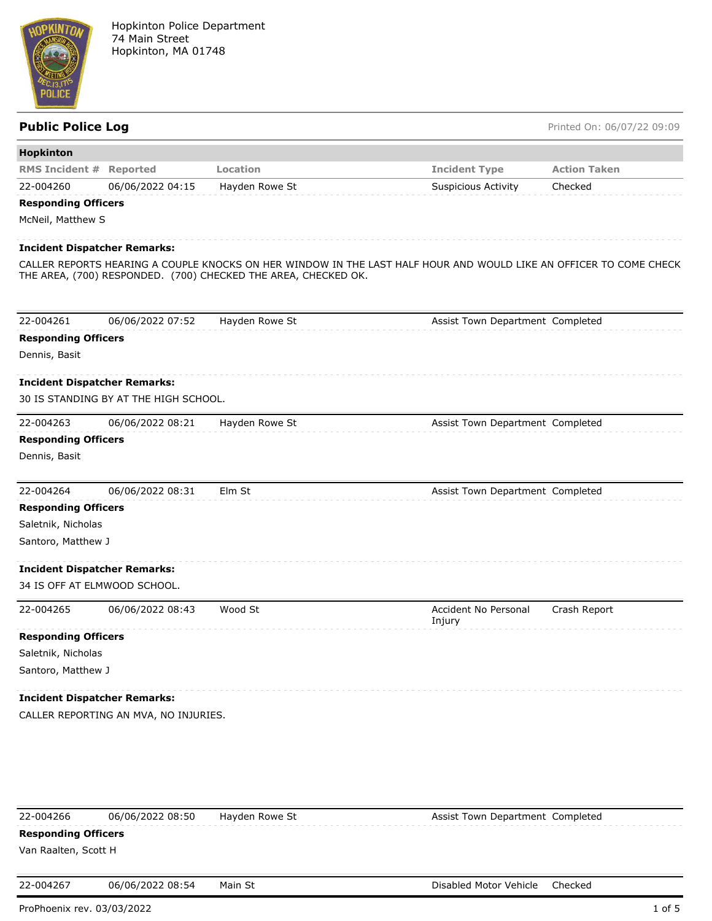

Public Police Log **Public Police Log** Printed On: 06/07/22 09:09

| <b>Hopkinton</b>                    |                                       | Location                                                       |                                                                                                                    | <b>Action Taken</b> |
|-------------------------------------|---------------------------------------|----------------------------------------------------------------|--------------------------------------------------------------------------------------------------------------------|---------------------|
| <b>RMS Incident # Reported</b>      |                                       |                                                                | <b>Incident Type</b>                                                                                               |                     |
| 22-004260                           | 06/06/2022 04:15                      | Hayden Rowe St                                                 | <b>Suspicious Activity</b>                                                                                         | Checked             |
| <b>Responding Officers</b>          |                                       |                                                                |                                                                                                                    |                     |
| McNeil, Matthew S                   |                                       |                                                                |                                                                                                                    |                     |
| <b>Incident Dispatcher Remarks:</b> |                                       |                                                                |                                                                                                                    |                     |
|                                     |                                       | THE AREA, (700) RESPONDED. (700) CHECKED THE AREA, CHECKED OK. | CALLER REPORTS HEARING A COUPLE KNOCKS ON HER WINDOW IN THE LAST HALF HOUR AND WOULD LIKE AN OFFICER TO COME CHECK |                     |
| 22-004261                           | 06/06/2022 07:52                      | Hayden Rowe St                                                 | Assist Town Department Completed                                                                                   |                     |
| <b>Responding Officers</b>          |                                       |                                                                |                                                                                                                    |                     |
| Dennis, Basit                       |                                       |                                                                |                                                                                                                    |                     |
|                                     |                                       |                                                                |                                                                                                                    |                     |
| <b>Incident Dispatcher Remarks:</b> |                                       |                                                                |                                                                                                                    |                     |
|                                     | 30 IS STANDING BY AT THE HIGH SCHOOL. |                                                                |                                                                                                                    |                     |
| 22-004263                           | 06/06/2022 08:21                      | Hayden Rowe St                                                 | Assist Town Department Completed                                                                                   |                     |
| <b>Responding Officers</b>          |                                       |                                                                |                                                                                                                    |                     |
| Dennis, Basit                       |                                       |                                                                |                                                                                                                    |                     |
| 22-004264                           | 06/06/2022 08:31                      | Elm St                                                         | Assist Town Department Completed                                                                                   |                     |
| <b>Responding Officers</b>          |                                       |                                                                |                                                                                                                    |                     |
| Saletnik, Nicholas                  |                                       |                                                                |                                                                                                                    |                     |
| Santoro, Matthew J                  |                                       |                                                                |                                                                                                                    |                     |
| <b>Incident Dispatcher Remarks:</b> |                                       |                                                                |                                                                                                                    |                     |
| 34 IS OFF AT ELMWOOD SCHOOL.        |                                       |                                                                |                                                                                                                    |                     |
| 22-004265                           | 06/06/2022 08:43                      | Wood St                                                        | Accident No Personal<br>Injury                                                                                     | Crash Report        |
| <b>Responding Officers</b>          |                                       |                                                                |                                                                                                                    |                     |
| Saletnik, Nicholas                  |                                       |                                                                |                                                                                                                    |                     |
| Santoro, Matthew J                  |                                       |                                                                |                                                                                                                    |                     |
| <b>Incident Dispatcher Remarks:</b> |                                       |                                                                |                                                                                                                    |                     |
|                                     | CALLER REPORTING AN MVA, NO INJURIES. |                                                                |                                                                                                                    |                     |
|                                     |                                       |                                                                |                                                                                                                    |                     |
|                                     |                                       |                                                                |                                                                                                                    |                     |
|                                     |                                       |                                                                |                                                                                                                    |                     |
|                                     |                                       |                                                                |                                                                                                                    |                     |
| 22-004266                           | 06/06/2022 08:50                      | Hayden Rowe St                                                 | Assist Town Department Completed                                                                                   |                     |

## **Responding Officers**

Van Raalten, Scott H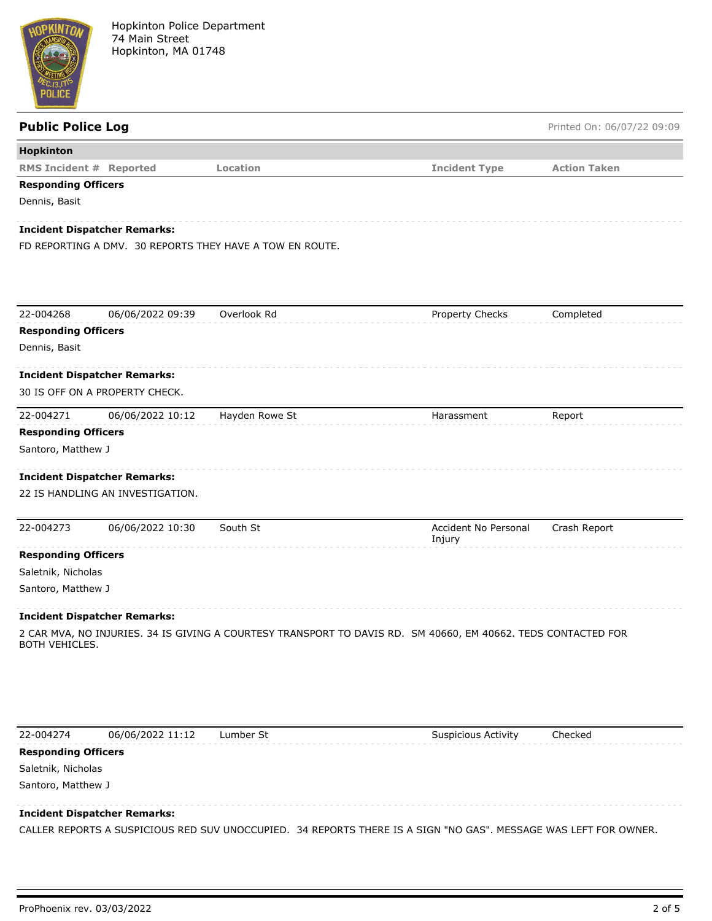

# **Public Police Log Printed On: 06/07/22 09:09 Hopkinton RMS Incident # Reported Location Incident Type Action Taken Responding Officers** Dennis, Basit **Incident Dispatcher Remarks:** FD REPORTING A DMV. 30 REPORTS THEY HAVE A TOW EN ROUTE. 22-004268 06/06/2022 09:39 Overlook Rd Property Checks Completed **Responding Officers** Dennis, Basit **Incident Dispatcher Remarks:** 30 IS OFF ON A PROPERTY CHECK. 22-004271 06/06/2022 10:12 Hayden Rowe St Harassment Report **Responding Officers** Santoro, Matthew J **Incident Dispatcher Remarks:** 22 IS HANDLING AN INVESTIGATION. 22-004273 06/06/2022 10:30 South St Accident No Personal Injury Crash Report **Responding Officers** Saletnik, Nicholas Santoro, Matthew J **Incident Dispatcher Remarks:** 2 CAR MVA, NO INJURIES. 34 IS GIVING A COURTESY TRANSPORT TO DAVIS RD. SM 40660, EM 40662. TEDS CONTACTED FOR BOTH VEHICLES.

22-004274 06/06/2022 11:12 Lumber St Suspicious Activity Checked

### **Responding Officers**

Saletnik, Nicholas

Santoro, Matthew J

### **Incident Dispatcher Remarks:**

CALLER REPORTS A SUSPICIOUS RED SUV UNOCCUPIED. 34 REPORTS THERE IS A SIGN "NO GAS". MESSAGE WAS LEFT FOR OWNER.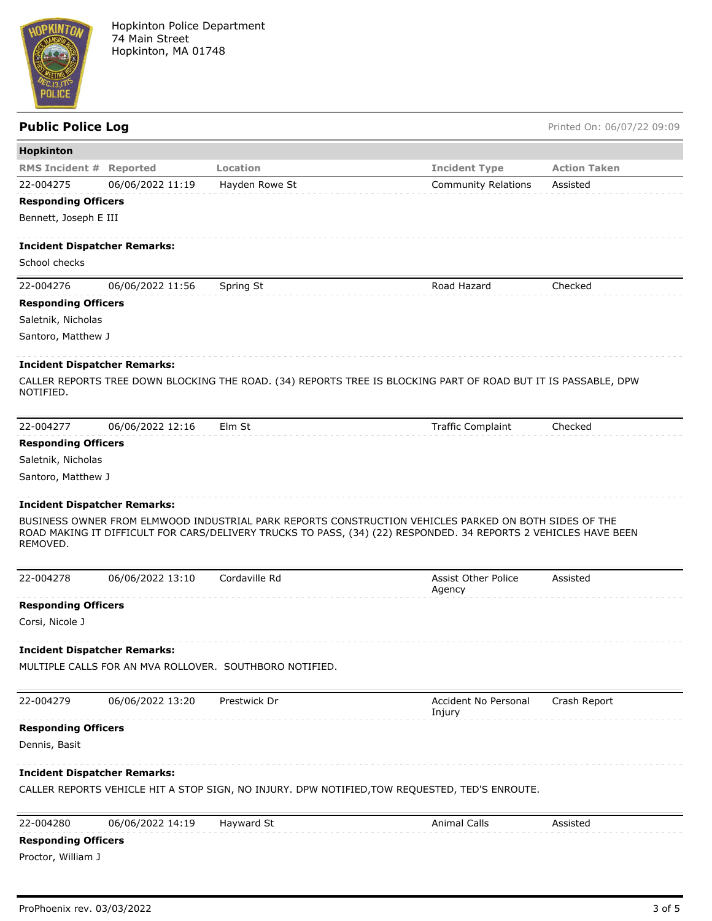

| <b>Public Police Log</b>            |                  |                                                         |                                                                                                                                                                                                                          | Printed On: 06/07/22 09:09 |
|-------------------------------------|------------------|---------------------------------------------------------|--------------------------------------------------------------------------------------------------------------------------------------------------------------------------------------------------------------------------|----------------------------|
| Hopkinton                           |                  |                                                         |                                                                                                                                                                                                                          |                            |
| <b>RMS Incident # Reported</b>      |                  | Location                                                | <b>Incident Type</b>                                                                                                                                                                                                     | <b>Action Taken</b>        |
| 22-004275                           | 06/06/2022 11:19 | Hayden Rowe St                                          | <b>Community Relations</b>                                                                                                                                                                                               | Assisted                   |
| <b>Responding Officers</b>          |                  |                                                         |                                                                                                                                                                                                                          |                            |
| Bennett, Joseph E III               |                  |                                                         |                                                                                                                                                                                                                          |                            |
| <b>Incident Dispatcher Remarks:</b> |                  |                                                         |                                                                                                                                                                                                                          |                            |
| School checks                       |                  |                                                         |                                                                                                                                                                                                                          |                            |
| 22-004276                           | 06/06/2022 11:56 | Spring St                                               | Road Hazard                                                                                                                                                                                                              | Checked                    |
| <b>Responding Officers</b>          |                  |                                                         |                                                                                                                                                                                                                          |                            |
| Saletnik, Nicholas                  |                  |                                                         |                                                                                                                                                                                                                          |                            |
| Santoro, Matthew J                  |                  |                                                         |                                                                                                                                                                                                                          |                            |
| <b>Incident Dispatcher Remarks:</b> |                  |                                                         |                                                                                                                                                                                                                          |                            |
| NOTIFIED.                           |                  |                                                         | CALLER REPORTS TREE DOWN BLOCKING THE ROAD. (34) REPORTS TREE IS BLOCKING PART OF ROAD BUT IT IS PASSABLE, DPW                                                                                                           |                            |
|                                     |                  |                                                         |                                                                                                                                                                                                                          |                            |
| 22-004277                           | 06/06/2022 12:16 | Elm St                                                  | <b>Traffic Complaint</b>                                                                                                                                                                                                 | Checked                    |
| <b>Responding Officers</b>          |                  |                                                         |                                                                                                                                                                                                                          |                            |
| Saletnik, Nicholas                  |                  |                                                         |                                                                                                                                                                                                                          |                            |
| Santoro, Matthew J                  |                  |                                                         |                                                                                                                                                                                                                          |                            |
| <b>Incident Dispatcher Remarks:</b> |                  |                                                         |                                                                                                                                                                                                                          |                            |
| REMOVED.                            |                  |                                                         | BUSINESS OWNER FROM ELMWOOD INDUSTRIAL PARK REPORTS CONSTRUCTION VEHICLES PARKED ON BOTH SIDES OF THE<br>ROAD MAKING IT DIFFICULT FOR CARS/DELIVERY TRUCKS TO PASS, (34) (22) RESPONDED. 34 REPORTS 2 VEHICLES HAVE BEEN |                            |
| 22-004278                           | 06/06/2022 13:10 | Cordaville Rd                                           | <b>Assist Other Police</b><br>Agency                                                                                                                                                                                     | Assisted                   |
| <b>Responding Officers</b>          |                  |                                                         |                                                                                                                                                                                                                          |                            |
| Corsi, Nicole J                     |                  |                                                         |                                                                                                                                                                                                                          |                            |
| <b>Incident Dispatcher Remarks:</b> |                  |                                                         |                                                                                                                                                                                                                          |                            |
|                                     |                  | MULTIPLE CALLS FOR AN MVA ROLLOVER. SOUTHBORO NOTIFIED. |                                                                                                                                                                                                                          |                            |
| 22-004279                           | 06/06/2022 13:20 | Prestwick Dr                                            | <b>Accident No Personal</b>                                                                                                                                                                                              | Crash Report               |
| <b>Responding Officers</b>          |                  |                                                         | Injury                                                                                                                                                                                                                   |                            |
| Dennis, Basit                       |                  |                                                         |                                                                                                                                                                                                                          |                            |
| <b>Incident Dispatcher Remarks:</b> |                  |                                                         |                                                                                                                                                                                                                          |                            |
|                                     |                  |                                                         | CALLER REPORTS VEHICLE HIT A STOP SIGN, NO INJURY. DPW NOTIFIED, TOW REQUESTED, TED'S ENROUTE.                                                                                                                           |                            |
| 22-004280                           | 06/06/2022 14:19 | Hayward St                                              | <b>Animal Calls</b>                                                                                                                                                                                                      | Assisted                   |
| <b>Responding Officers</b>          |                  |                                                         |                                                                                                                                                                                                                          |                            |
| Proctor, William J                  |                  |                                                         |                                                                                                                                                                                                                          |                            |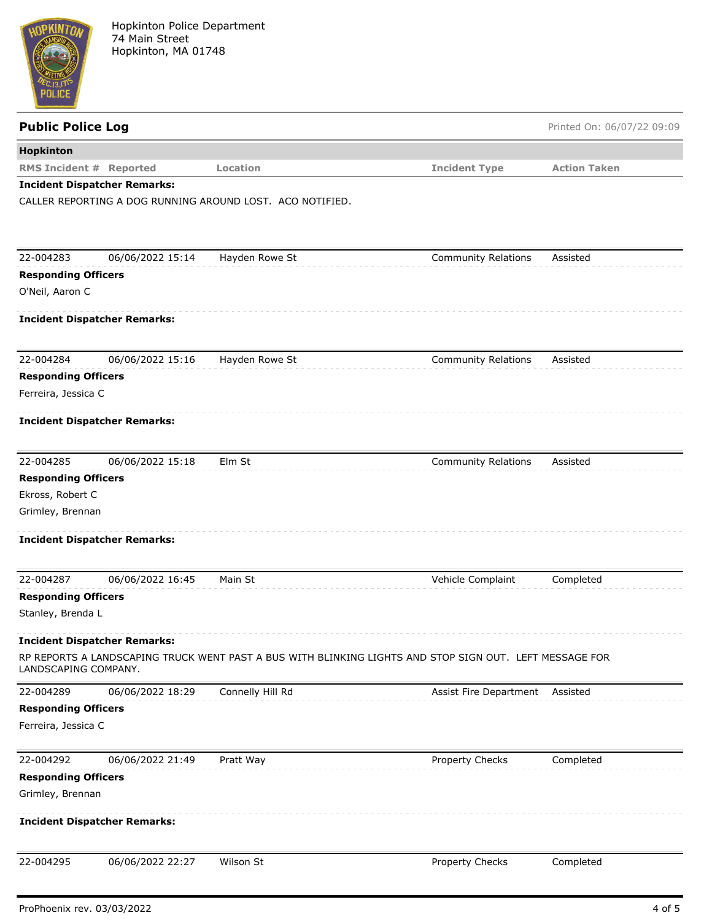

| <b>Public Police Log</b>       |                                     |                                                           |                                                                                                         | Printed On: 06/07/22 09:09 |
|--------------------------------|-------------------------------------|-----------------------------------------------------------|---------------------------------------------------------------------------------------------------------|----------------------------|
| <b>Hopkinton</b>               |                                     |                                                           |                                                                                                         |                            |
| <b>RMS Incident # Reported</b> |                                     | Location                                                  | <b>Incident Type</b>                                                                                    | <b>Action Taken</b>        |
|                                | <b>Incident Dispatcher Remarks:</b> |                                                           |                                                                                                         |                            |
|                                |                                     | CALLER REPORTING A DOG RUNNING AROUND LOST. ACO NOTIFIED. |                                                                                                         |                            |
| 22-004283                      | 06/06/2022 15:14                    | Hayden Rowe St                                            | <b>Community Relations</b>                                                                              | Assisted                   |
| <b>Responding Officers</b>     |                                     |                                                           |                                                                                                         |                            |
| O'Neil, Aaron C                |                                     |                                                           |                                                                                                         |                            |
|                                | <b>Incident Dispatcher Remarks:</b> |                                                           |                                                                                                         |                            |
| 22-004284                      | 06/06/2022 15:16                    | Hayden Rowe St                                            | <b>Community Relations</b>                                                                              | Assisted                   |
| <b>Responding Officers</b>     |                                     |                                                           |                                                                                                         |                            |
| Ferreira, Jessica C            |                                     |                                                           |                                                                                                         |                            |
|                                | <b>Incident Dispatcher Remarks:</b> |                                                           |                                                                                                         |                            |
| 22-004285                      | 06/06/2022 15:18                    | Elm St                                                    | <b>Community Relations</b>                                                                              | Assisted                   |
| <b>Responding Officers</b>     |                                     |                                                           |                                                                                                         |                            |
| Ekross, Robert C               |                                     |                                                           |                                                                                                         |                            |
| Grimley, Brennan               |                                     |                                                           |                                                                                                         |                            |
|                                | <b>Incident Dispatcher Remarks:</b> |                                                           |                                                                                                         |                            |
| 22-004287                      | 06/06/2022 16:45                    | Main St                                                   | Vehicle Complaint                                                                                       | Completed                  |
| <b>Responding Officers</b>     |                                     |                                                           |                                                                                                         |                            |
| Stanley, Brenda L              |                                     |                                                           |                                                                                                         |                            |
|                                | Incident Dispatcher Remarks:        |                                                           |                                                                                                         |                            |
| LANDSCAPING COMPANY.           |                                     |                                                           | RP REPORTS A LANDSCAPING TRUCK WENT PAST A BUS WITH BLINKING LIGHTS AND STOP SIGN OUT. LEFT MESSAGE FOR |                            |
| 22-004289                      | 06/06/2022 18:29                    | Connelly Hill Rd                                          | Assist Fire Department Assisted                                                                         |                            |
| <b>Responding Officers</b>     |                                     |                                                           |                                                                                                         |                            |
| Ferreira, Jessica C            |                                     |                                                           |                                                                                                         |                            |
| 22-004292                      | 06/06/2022 21:49                    | Pratt Way                                                 | Property Checks                                                                                         | Completed                  |
| <b>Responding Officers</b>     |                                     |                                                           |                                                                                                         |                            |
| Grimley, Brennan               |                                     |                                                           |                                                                                                         |                            |
|                                | <b>Incident Dispatcher Remarks:</b> |                                                           |                                                                                                         |                            |
| 22-004295                      | 06/06/2022 22:27                    | Wilson St                                                 | Property Checks                                                                                         | Completed                  |